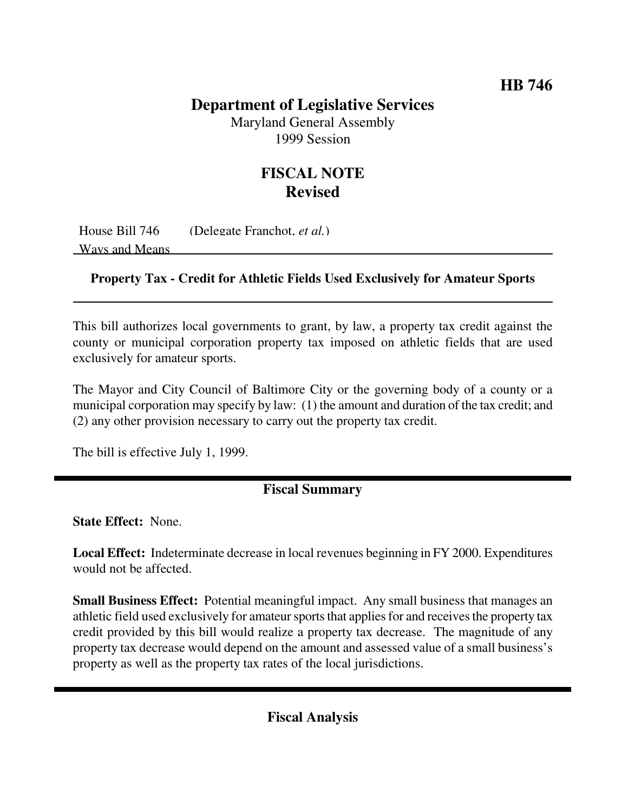## **Department of Legislative Services**

Maryland General Assembly 1999 Session

## **FISCAL NOTE Revised**

House Bill 746 (Delegate Franchot, *et al.*) Ways and Means

## **Property Tax - Credit for Athletic Fields Used Exclusively for Amateur Sports**

This bill authorizes local governments to grant, by law, a property tax credit against the county or municipal corporation property tax imposed on athletic fields that are used exclusively for amateur sports.

The Mayor and City Council of Baltimore City or the governing body of a county or a municipal corporation may specify by law: (1) the amount and duration of the tax credit; and (2) any other provision necessary to carry out the property tax credit.

The bill is effective July 1, 1999.

## **Fiscal Summary**

**State Effect:** None.

**Local Effect:** Indeterminate decrease in local revenues beginning in FY 2000. Expenditures would not be affected.

**Small Business Effect:** Potential meaningful impact. Any small business that manages an athletic field used exclusively for amateur sports that applies for and receives the property tax credit provided by this bill would realize a property tax decrease. The magnitude of any property tax decrease would depend on the amount and assessed value of a small business's property as well as the property tax rates of the local jurisdictions.